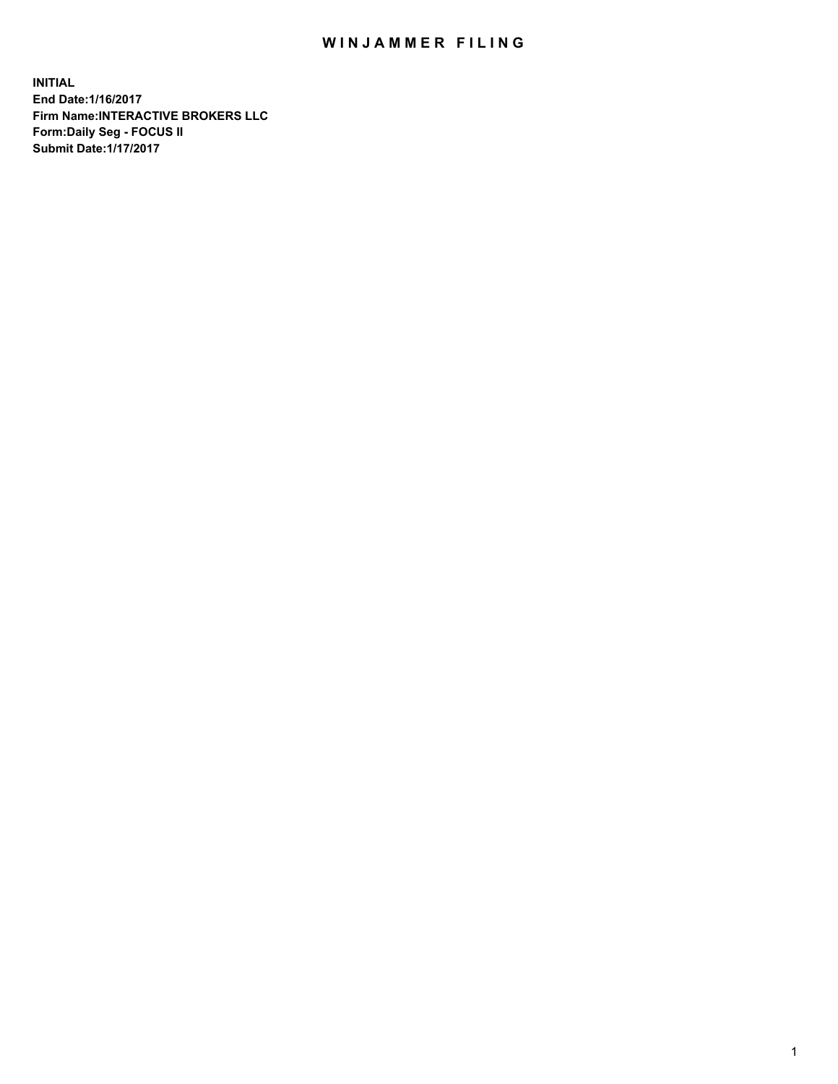## WIN JAMMER FILING

**INITIAL End Date:1/16/2017 Firm Name:INTERACTIVE BROKERS LLC Form:Daily Seg - FOCUS II Submit Date:1/17/2017**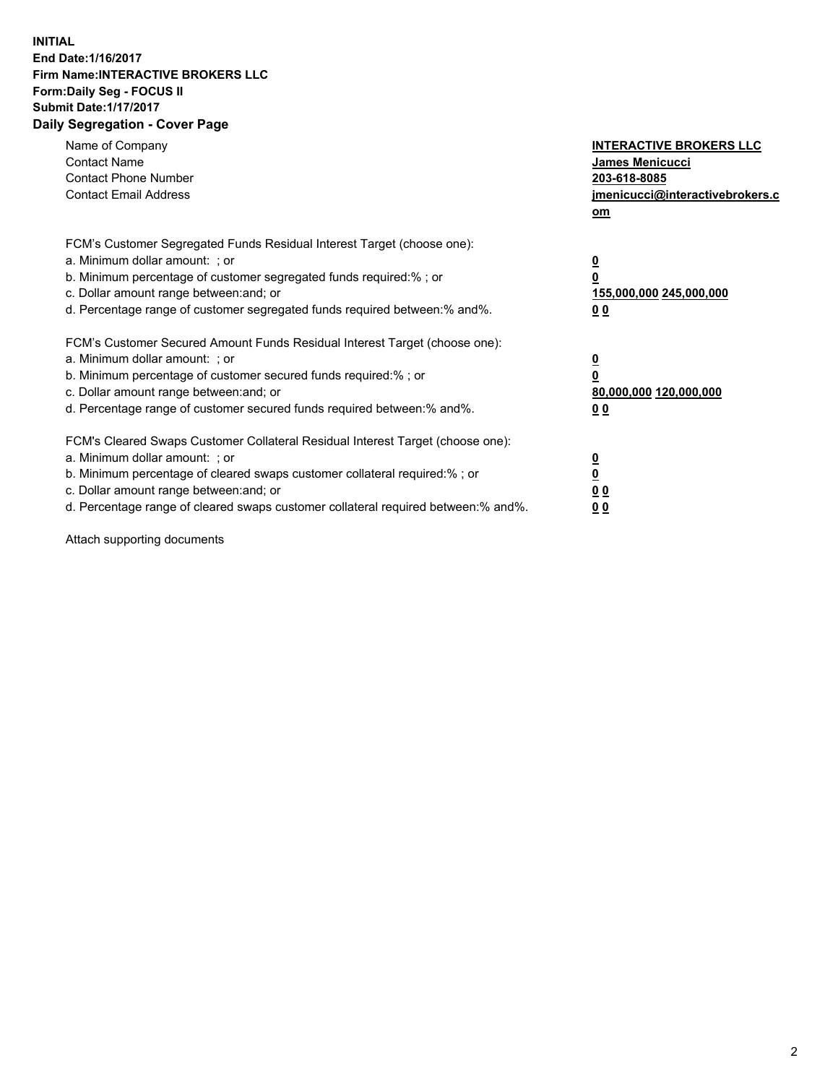## **INITIAL End Date:1/16/2017 Firm Name:INTERACTIVE BROKERS LLC Form:Daily Seg - FOCUS II Submit Date:1/17/2017 Daily Segregation - Cover Page**

| Name of Company<br><b>Contact Name</b><br><b>Contact Phone Number</b><br><b>Contact Email Address</b>                                                                                                                                                                                                                          | <b>INTERACTIVE BROKERS LLC</b><br>James Menicucci<br>203-618-8085<br>jmenicucci@interactivebrokers.c<br>om |
|--------------------------------------------------------------------------------------------------------------------------------------------------------------------------------------------------------------------------------------------------------------------------------------------------------------------------------|------------------------------------------------------------------------------------------------------------|
| FCM's Customer Segregated Funds Residual Interest Target (choose one):<br>a. Minimum dollar amount: ; or<br>b. Minimum percentage of customer segregated funds required:%; or<br>c. Dollar amount range between: and; or<br>d. Percentage range of customer segregated funds required between:% and%.                          | $\overline{\mathbf{0}}$<br>0<br>155,000,000 245,000,000<br>0 <sub>0</sub>                                  |
| FCM's Customer Secured Amount Funds Residual Interest Target (choose one):<br>a. Minimum dollar amount: ; or<br>b. Minimum percentage of customer secured funds required:%; or<br>c. Dollar amount range between: and; or<br>d. Percentage range of customer secured funds required between:% and%.                            | $\overline{\mathbf{0}}$<br>$\overline{\mathbf{0}}$<br>80,000,000 120,000,000<br>00                         |
| FCM's Cleared Swaps Customer Collateral Residual Interest Target (choose one):<br>a. Minimum dollar amount: ; or<br>b. Minimum percentage of cleared swaps customer collateral required:% ; or<br>c. Dollar amount range between: and; or<br>d. Percentage range of cleared swaps customer collateral required between:% and%. | $\overline{\mathbf{0}}$<br>$\overline{\mathbf{0}}$<br>0 <sub>0</sub><br><u>00</u>                          |

Attach supporting documents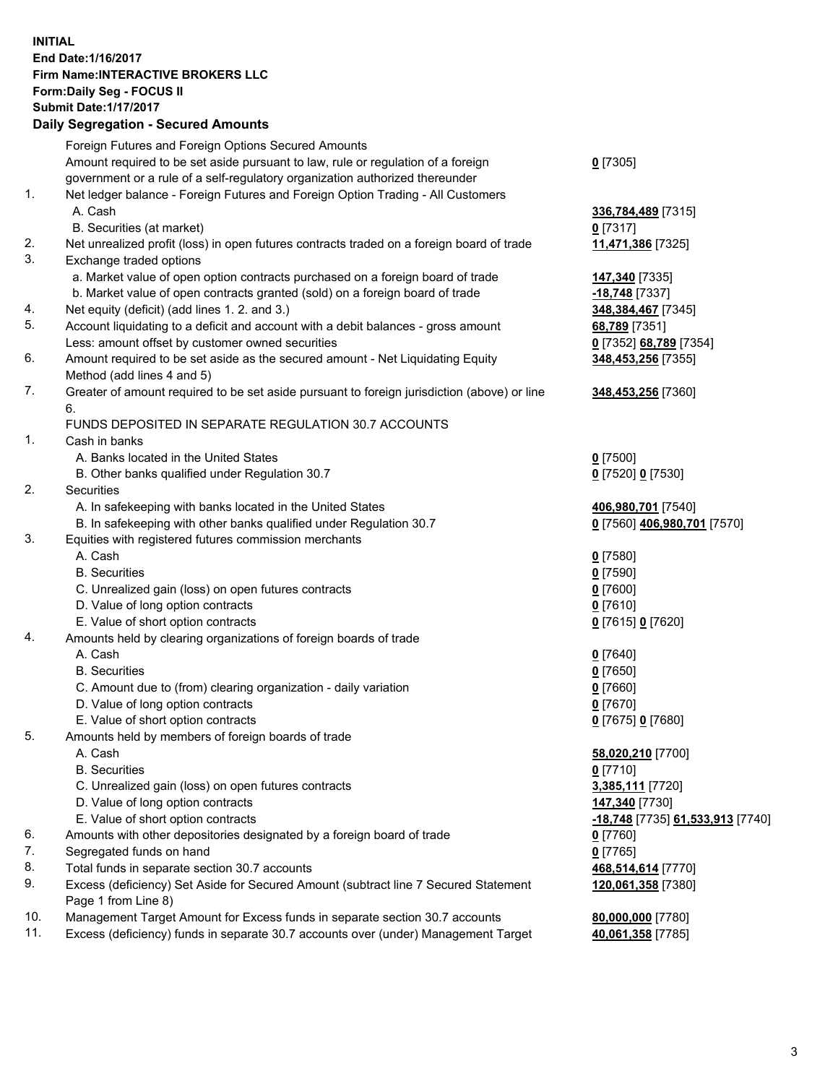## **INITIAL End Date:1/16/2017 Firm Name:INTERACTIVE BROKERS LLC Form:Daily Seg - FOCUS II Submit Date:1/17/2017 Daily Segregation - Secured Amounts**

|     | <b>Pany Obyrogation Coodica</b> / 11110ani                                                  |                                  |
|-----|---------------------------------------------------------------------------------------------|----------------------------------|
|     | Foreign Futures and Foreign Options Secured Amounts                                         |                                  |
|     | Amount required to be set aside pursuant to law, rule or regulation of a foreign            | $0$ [7305]                       |
|     | government or a rule of a self-regulatory organization authorized thereunder                |                                  |
| 1.  | Net ledger balance - Foreign Futures and Foreign Option Trading - All Customers             |                                  |
|     | A. Cash                                                                                     | 336,784,489 [7315]               |
|     | B. Securities (at market)                                                                   | $0$ [7317]                       |
| 2.  | Net unrealized profit (loss) in open futures contracts traded on a foreign board of trade   | 11,471,386 [7325]                |
| 3.  | Exchange traded options                                                                     |                                  |
|     | a. Market value of open option contracts purchased on a foreign board of trade              | 147,340 [7335]                   |
|     | b. Market value of open contracts granted (sold) on a foreign board of trade                | $-18,748$ [7337]                 |
| 4.  | Net equity (deficit) (add lines 1.2. and 3.)                                                | 348, 384, 467 [7345]             |
| 5.  | Account liquidating to a deficit and account with a debit balances - gross amount           | 68,789 [7351]                    |
|     | Less: amount offset by customer owned securities                                            | 0 [7352] 68,789 [7354]           |
| 6.  | Amount required to be set aside as the secured amount - Net Liquidating Equity              | 348,453,256 [7355]               |
|     | Method (add lines 4 and 5)                                                                  |                                  |
| 7.  | Greater of amount required to be set aside pursuant to foreign jurisdiction (above) or line | 348,453,256 [7360]               |
|     | 6.                                                                                          |                                  |
|     | FUNDS DEPOSITED IN SEPARATE REGULATION 30.7 ACCOUNTS                                        |                                  |
| 1.  | Cash in banks                                                                               |                                  |
|     | A. Banks located in the United States                                                       | $0$ [7500]                       |
|     | B. Other banks qualified under Regulation 30.7                                              | 0 [7520] 0 [7530]                |
| 2.  | Securities                                                                                  |                                  |
|     | A. In safekeeping with banks located in the United States                                   | 406,980,701 [7540]               |
|     | B. In safekeeping with other banks qualified under Regulation 30.7                          | 0 [7560] 406,980,701 [7570]      |
| 3.  | Equities with registered futures commission merchants                                       |                                  |
|     | A. Cash                                                                                     | $0$ [7580]                       |
|     | <b>B.</b> Securities                                                                        | $0$ [7590]                       |
|     | C. Unrealized gain (loss) on open futures contracts                                         | $0$ [7600]                       |
|     | D. Value of long option contracts                                                           | $0$ [7610]                       |
|     | E. Value of short option contracts                                                          | 0 [7615] 0 [7620]                |
| 4.  | Amounts held by clearing organizations of foreign boards of trade                           |                                  |
|     | A. Cash                                                                                     | $0$ [7640]                       |
|     | <b>B.</b> Securities                                                                        | $0$ [7650]                       |
|     | C. Amount due to (from) clearing organization - daily variation                             | $0$ [7660]                       |
|     | D. Value of long option contracts                                                           | $0$ [7670]                       |
|     | E. Value of short option contracts                                                          | 0 [7675] 0 [7680]                |
| 5.  | Amounts held by members of foreign boards of trade                                          |                                  |
|     | A. Cash                                                                                     | 58,020,210 [7700]                |
|     | <b>B.</b> Securities                                                                        | $0$ [7710]                       |
|     | C. Unrealized gain (loss) on open futures contracts                                         | 3,385,111 [7720]                 |
|     | D. Value of long option contracts                                                           | 147,340 [7730]                   |
|     | E. Value of short option contracts                                                          | -18,748 [7735] 61,533,913 [7740] |
| 6.  | Amounts with other depositories designated by a foreign board of trade                      | $0$ [7760]                       |
| 7.  | Segregated funds on hand                                                                    | $0$ [7765]                       |
| 8.  | Total funds in separate section 30.7 accounts                                               | 468,514,614 [7770]               |
| 9.  | Excess (deficiency) Set Aside for Secured Amount (subtract line 7 Secured Statement         | 120,061,358 [7380]               |
|     | Page 1 from Line 8)                                                                         |                                  |
| 10. | Management Target Amount for Excess funds in separate section 30.7 accounts                 | 80,000,000 [7780]                |
| 11. | Excess (deficiency) funds in separate 30.7 accounts over (under) Management Target          | 40,061,358 [7785]                |
|     |                                                                                             |                                  |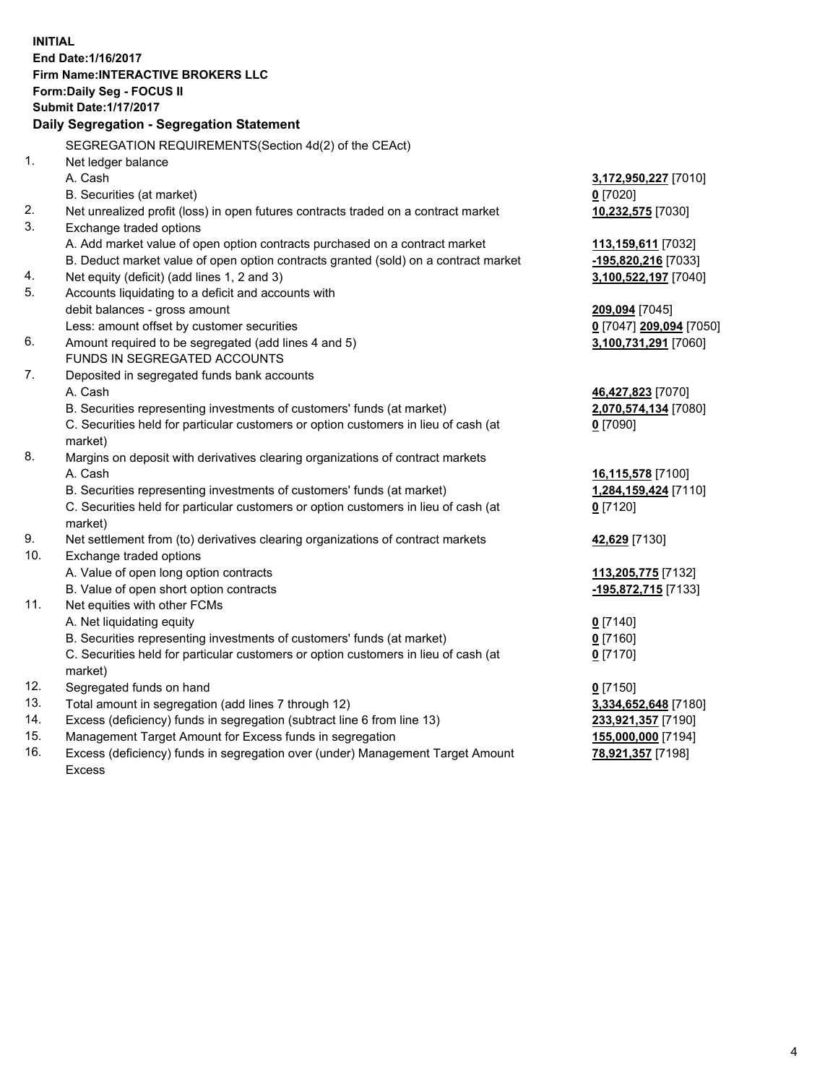**INITIAL End Date:1/16/2017 Firm Name:INTERACTIVE BROKERS LLC Form:Daily Seg - FOCUS II Submit Date:1/17/2017 Daily Segregation - Segregation Statement** SEGREGATION REQUIREMENTS(Section 4d(2) of the CEAct) 1. Net ledger balance A. Cash **3,172,950,227** [7010] B. Securities (at market) **0** [7020] 2. Net unrealized profit (loss) in open futures contracts traded on a contract market **10,232,575** [7030] 3. Exchange traded options A. Add market value of open option contracts purchased on a contract market **113,159,611** [7032] B. Deduct market value of open option contracts granted (sold) on a contract market **-195,820,216** [7033] 4. Net equity (deficit) (add lines 1, 2 and 3) **3,100,522,197** [7040] 5. Accounts liquidating to a deficit and accounts with debit balances - gross amount **209,094** [7045] Less: amount offset by customer securities **0** [7047] **209,094** [7050] 6. Amount required to be segregated (add lines 4 and 5) **3,100,731,291** [7060] FUNDS IN SEGREGATED ACCOUNTS 7. Deposited in segregated funds bank accounts A. Cash **46,427,823** [7070] B. Securities representing investments of customers' funds (at market) **2,070,574,134** [7080] C. Securities held for particular customers or option customers in lieu of cash (at market) **0** [7090] 8. Margins on deposit with derivatives clearing organizations of contract markets A. Cash **16,115,578** [7100] B. Securities representing investments of customers' funds (at market) **1,284,159,424** [7110] C. Securities held for particular customers or option customers in lieu of cash (at market) **0** [7120] 9. Net settlement from (to) derivatives clearing organizations of contract markets **42,629** [7130] 10. Exchange traded options A. Value of open long option contracts **113,205,775** [7132] B. Value of open short option contracts **-195,872,715** [7133] 11. Net equities with other FCMs A. Net liquidating equity **0** [7140] B. Securities representing investments of customers' funds (at market) **0** [7160] C. Securities held for particular customers or option customers in lieu of cash (at market) **0** [7170] 12. Segregated funds on hand **0** [7150] 13. Total amount in segregation (add lines 7 through 12) **3,334,652,648** [7180] 14. Excess (deficiency) funds in segregation (subtract line 6 from line 13) **233,921,357** [7190] 15. Management Target Amount for Excess funds in segregation **155,000,000** [7194] **78,921,357** [7198]

16. Excess (deficiency) funds in segregation over (under) Management Target Amount Excess